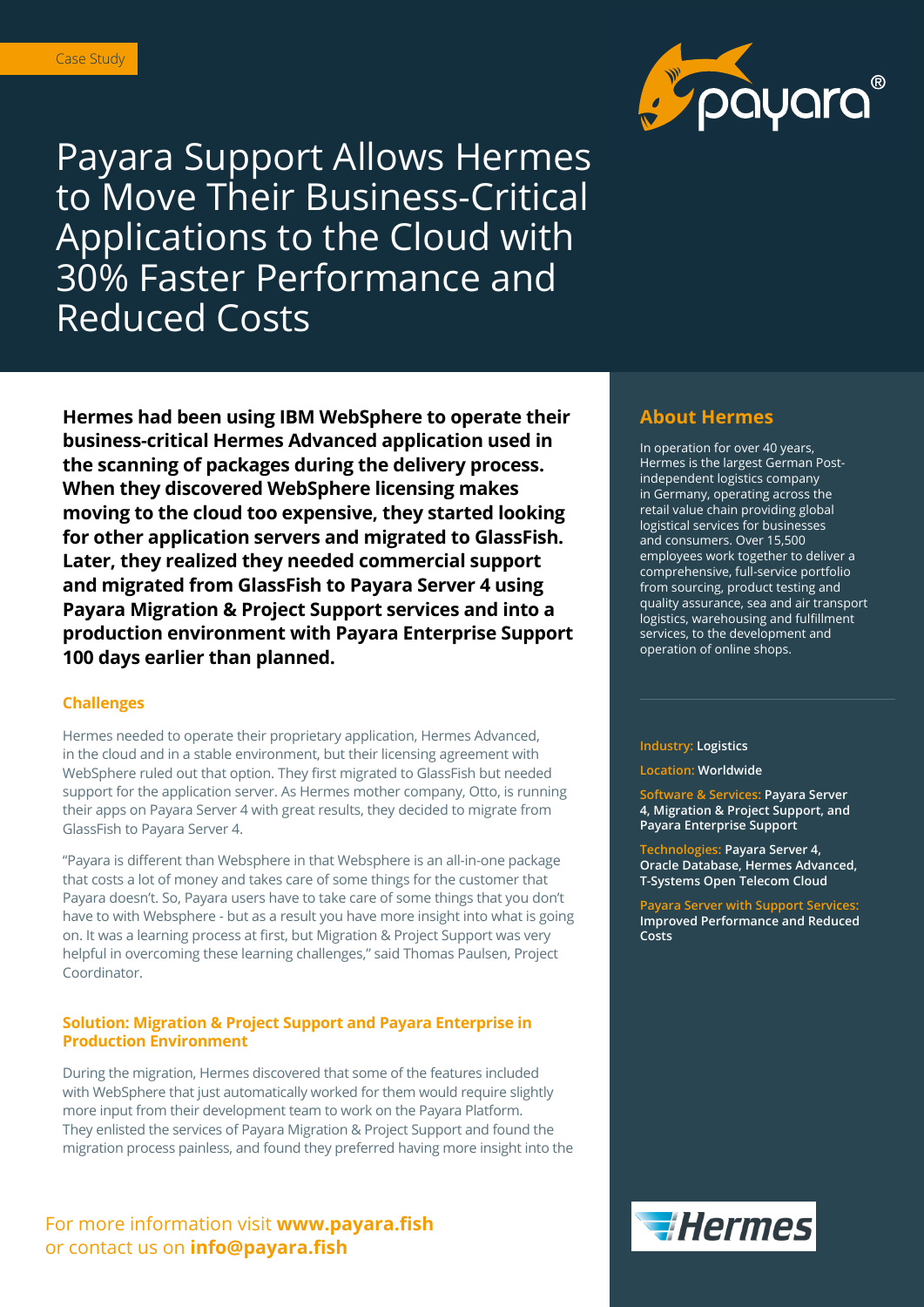

Payara Support Allows Hermes to Move Their Business-Critical Applications to the Cloud with 30% Faster Performance and Reduced Costs

**Hermes had been using IBM WebSphere to operate their business-critical Hermes Advanced application used in the scanning of packages during the delivery process. When they discovered WebSphere licensing makes moving to the cloud too expensive, they started looking for other application servers and migrated to GlassFish. Later, they realized they needed commercial support and migrated from GlassFish to Payara Server 4 using Payara Migration & Project Support services and into a production environment with Payara Enterprise Support 100 days earlier than planned.** 

## **Challenges**

Hermes needed to operate their proprietary application, Hermes Advanced, in the cloud and in a stable environment, but their licensing agreement with WebSphere ruled out that option. They first migrated to GlassFish but needed support for the application server. As Hermes mother company, Otto, is running their apps on Payara Server 4 with great results, they decided to migrate from GlassFish to Payara Server 4.

"Payara is different than Websphere in that Websphere is an all-in-one package that costs a lot of money and takes care of some things for the customer that Payara doesn't. So, Payara users have to take care of some things that you don't have to with Websphere - but as a result you have more insight into what is going on. It was a learning process at first, but Migration & Project Support was very helpful in overcoming these learning challenges," said Thomas Paulsen, Project Coordinator.

## **Solution: Migration & Project Support and Payara Enterprise in Production Environment**

During the migration, Hermes discovered that some of the features included with WebSphere that just automatically worked for them would require slightly more input from their development team to work on the Payara Platform. They enlisted the services of Payara Migration & Project Support and found the migration process painless, and found they preferred having more insight into the

# For more information visit **www.payara.fish**  or contact us on **info@payara.fish**

# **About Hermes**

In operation for over 40 years, Hermes is the largest German Postindependent logistics company in Germany, operating across the retail value chain providing global logistical services for businesses and consumers. Over 15,500 employees work together to deliver a comprehensive, full-service portfolio from sourcing, product testing and quality assurance, sea and air transport logistics, warehousing and fulfillment services, to the development and operation of online shops.

#### **Industry: Logistics**

#### **Location: Worldwide**

**Software & Services: Payara Server 4, Migration & Project Support, and Payara Enterprise Support** 

**Technologies: Payara Server 4, Oracle Database, Hermes Advanced, T-Systems Open Telecom Cloud**

**Payara Server with Support Services: Improved Performance and Reduced Costs**